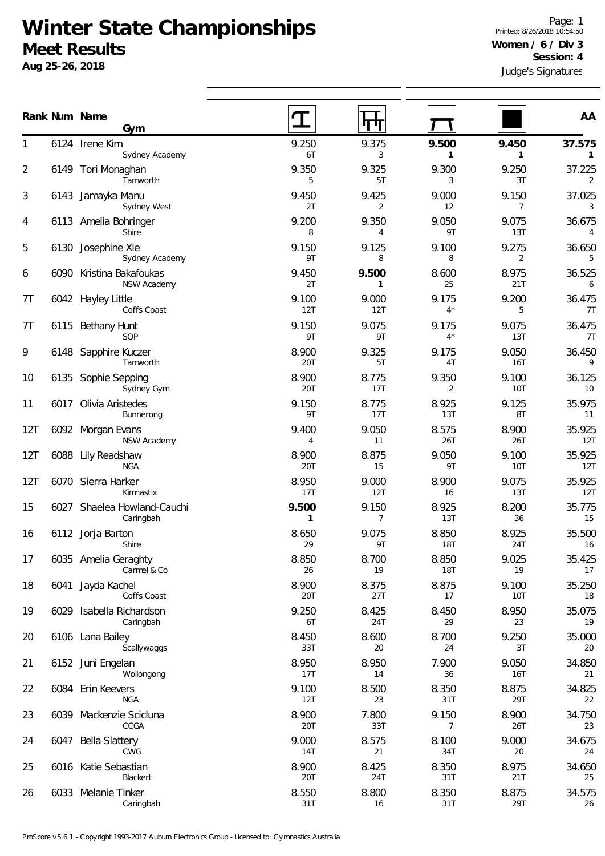## **Winter State Championships Meet Results**

**Aug 25-26, 2018**

Judge's Signatures Page: 1 Printed: 8/26/2018 10:54:50 **Women / 6 / Div 3 Session: 4**

|                |      | Rank Num Name<br>Gym                     |                       |                         |                         |                         | AA                       |
|----------------|------|------------------------------------------|-----------------------|-------------------------|-------------------------|-------------------------|--------------------------|
| 1              |      | 6124 Irene Kim<br>Sydney Academy         | 9.250<br>6T           | 9.375<br>3              | 9.500<br>1              | 9.450<br>1              | 37.575<br>$\mathbf{1}$   |
| 2              |      | 6149 Tori Monaghan<br>Tamworth           | 9.350<br>5            | 9.325<br>5T             | 9.300<br>3              | 9.250<br>3T             | 37.225<br>2              |
| 3              |      | 6143 Jamayka Manu<br>Sydney West         | 9.450<br>2T           | 9.425<br>2              | 9.000<br>12             | 9.150<br>$\overline{7}$ | 37.025<br>3              |
| 4              |      | 6113 Amelia Bohringer<br>Shire           | 9.200<br>8            | 9.350<br>4              | 9.050<br>9T             | 9.075<br>13T            | 36.675<br>$\overline{4}$ |
| 5              |      | 6130 Josephine Xie<br>Sydney Academy     | 9.150<br>9T           | 9.125<br>8              | 9.100<br>8              | 9.275<br>$\overline{2}$ | 36.650<br>5              |
| 6              |      | 6090 Kristina Bakafoukas<br>NSW Academy  | 9.450<br>2T           | 9.500<br>1              | 8.600<br>25             | 8.975<br>21T            | 36.525<br>6              |
| 7 <sub>T</sub> |      | 6042 Hayley Little<br>Coffs Coast        | 9.100<br>12T          | 9.000<br>12T            | 9.175<br>$4^*$          | 9.200<br>5              | 36.475<br>7T             |
| 7T             |      | 6115 Bethany Hunt<br>SOP                 | 9.150<br>9T           | 9.075<br>9T             | 9.175<br>$4^*$          | 9.075<br>13T            | 36.475<br>7T             |
| 9              |      | 6148 Sapphire Kuczer<br>Tamworth         | 8.900<br>20T          | 9.325<br>5T             | 9.175<br>4T             | 9.050<br><b>16T</b>     | 36.450<br>9              |
| 10             | 6135 | Sophie Sepping<br>Sydney Gym             | 8.900<br>20T          | 8.775<br>17T            | 9.350<br>2              | 9.100<br><b>10T</b>     | 36.125<br>10             |
| 11             | 6017 | Olivia Aristedes<br>Bunnerong            | 9.150<br>9T           | 8.775<br>17T            | 8.925<br>13T            | 9.125<br>8T             | 35.975<br>11             |
| 12T            |      | 6092 Morgan Evans<br>NSW Academy         | 9.400<br>4            | 9.050<br>11             | 8.575<br>26T            | 8.900<br>26T            | 35.925<br>12T            |
| 12T            |      | 6088 Lily Readshaw<br><b>NGA</b>         | 8.900<br>20T          | 8.875<br>15             | 9.050<br>9T             | 9.100<br><b>10T</b>     | 35.925<br>12T            |
| 12T            |      | 6070 Sierra Harker<br>Kimnastix          | 8.950<br>17T          | 9.000<br>12T            | 8.900<br>16             | 9.075<br>13T            | 35.925<br>12T            |
| 15             |      | 6027 Shaelea Howland-Cauchi<br>Caringbah | 9.500<br>$\mathbf{1}$ | 9.150<br>$\overline{7}$ | 8.925<br>13T            | 8.200<br>36             | 35.775<br>15             |
| 16             |      | 6112 Jorja Barton<br>Shire               | 8.650<br>29           | 9.075<br>9T             | 8.850<br><b>18T</b>     | 8.925<br>24T            | 35.500<br>16             |
| 17             |      | 6035 Amelia Geraghty<br>Carmel & Co      | 8.850<br>26           | 8.700<br>19             | 8.850<br><b>18T</b>     | 9.025<br>19             | 35.425<br>17             |
| 18             | 6041 | Jayda Kachel<br>Coffs Coast              | 8.900<br>20T          | 8.375<br>27T            | 8.875<br>17             | 9.100<br>10T            | 35.250<br>18             |
| 19             |      | 6029 Isabella Richardson<br>Caringbah    | 9.250<br>6T           | 8.425<br>24T            | 8.450<br>29             | 8.950<br>23             | 35.075<br>19             |
| 20             |      | 6106 Lana Bailey<br>Scallywaggs          | 8.450<br>33T          | 8.600<br>20             | 8.700<br>24             | 9.250<br>3T             | 35.000<br>20             |
| 21             |      | 6152 Juni Engelan<br>Wollongong          | 8.950<br>17T          | 8.950<br>14             | 7.900<br>36             | 9.050<br><b>16T</b>     | 34.850<br>21             |
| 22             |      | 6084 Erin Keevers<br><b>NGA</b>          | 9.100<br>12T          | 8.500<br>23             | 8.350<br>31T            | 8.875<br>29T            | 34.825<br>22             |
| 23             |      | 6039 Mackenzie Scicluna<br>CCGA          | 8.900<br>20T          | 7.800<br>33T            | 9.150<br>$\overline{7}$ | 8.900<br>26T            | 34.750<br>23             |
| 24             |      | 6047 Bella Slattery<br>CWG               | 9.000<br>14T          | 8.575<br>21             | 8.100<br>34T            | 9.000<br>20             | 34.675<br>24             |
| 25             |      | 6016 Katie Sebastian<br>Blackert         | 8.900<br>20T          | 8.425<br>24T            | 8.350<br>31T            | 8.975<br>21T            | 34.650<br>25             |
| 26             |      | 6033 Melanie Tinker<br>Caringbah         | 8.550<br>31T          | 8.800<br>16             | 8.350<br>31T            | 8.875<br>29T            | 34.575<br>26             |